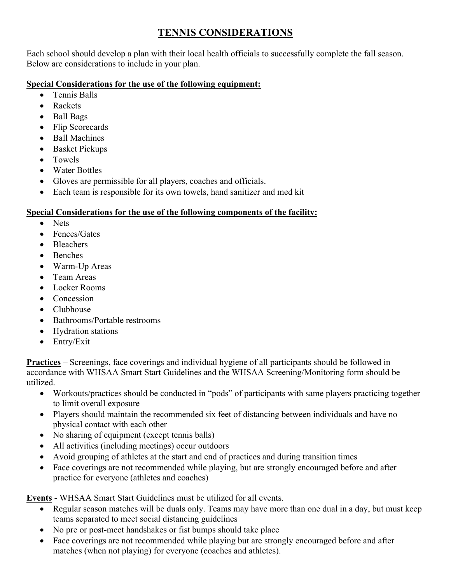# **TENNIS CONSIDERATIONS**

Each school should develop a plan with their local health officials to successfully complete the fall season. Below are considerations to include in your plan.

## **Special Considerations for the use of the following equipment:**

- Tennis Balls
- Rackets
- Ball Bags
- Flip Scorecards
- Ball Machines
- Basket Pickups
- Towels
- Water Bottles
- Gloves are permissible for all players, coaches and officials.
- Each team is responsible for its own towels, hand sanitizer and med kit

## **Special Considerations for the use of the following components of the facility:**

- Nets
- Fences/Gates
- Bleachers
- Benches
- Warm-Up Areas
- Team Areas
- Locker Rooms
- Concession
- Clubhouse
- Bathrooms/Portable restrooms
- Hydration stations
- Entry/Exit

**Practices** – Screenings, face coverings and individual hygiene of all participants should be followed in accordance with WHSAA Smart Start Guidelines and the WHSAA Screening/Monitoring form should be utilized.

- Workouts/practices should be conducted in "pods" of participants with same players practicing together to limit overall exposure
- Players should maintain the recommended six feet of distancing between individuals and have no physical contact with each other
- No sharing of equipment (except tennis balls)
- All activities (including meetings) occur outdoors
- Avoid grouping of athletes at the start and end of practices and during transition times
- Face coverings are not recommended while playing, but are strongly encouraged before and after practice for everyone (athletes and coaches)

**Events** - WHSAA Smart Start Guidelines must be utilized for all events.

- Regular season matches will be duals only. Teams may have more than one dual in a day, but must keep teams separated to meet social distancing guidelines
- No pre or post-meet handshakes or fist bumps should take place
- Face coverings are not recommended while playing but are strongly encouraged before and after matches (when not playing) for everyone (coaches and athletes).